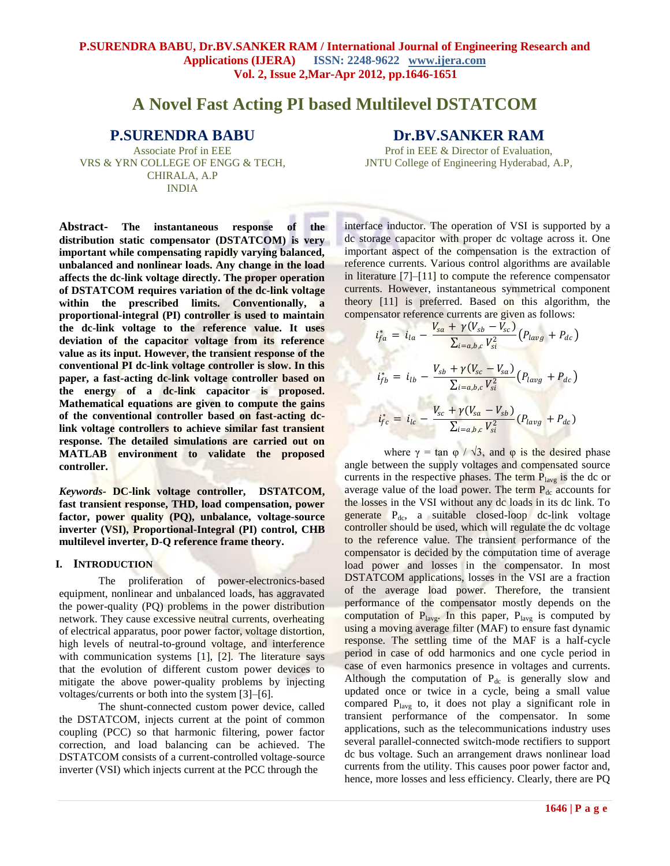# **A Novel Fast Acting PI based Multilevel DSTATCOM**

# **P.SURENDRA BABU**

Associate Prof in EEE VRS & YRN COLLEGE OF ENGG & TECH, CHIRALA, A.P INDIA

**Dr.BV.SANKER RAM**

Prof in EEE & Director of Evaluation, JNTU College of Engineering Hyderabad, A.P,

**Abstract- The instantaneous response of the distribution static compensator (DSTATCOM) is very important while compensating rapidly varying balanced, unbalanced and nonlinear loads. Any change in the load affects the dc-link voltage directly. The proper operation of DSTATCOM requires variation of the dc-link voltage within the prescribed limits. Conventionally, a proportional-integral (PI) controller is used to maintain the dc-link voltage to the reference value. It uses deviation of the capacitor voltage from its reference value as its input. However, the transient response of the conventional PI dc-link voltage controller is slow. In this paper, a fast-acting dc-link voltage controller based on the energy of a dc-link capacitor is proposed. Mathematical equations are given to compute the gains of the conventional controller based on fast-acting dclink voltage controllers to achieve similar fast transient response. The detailed simulations are carried out on MATLAB environment to validate the proposed controller.**

*Keywords-* **DC-link voltage controller, DSTATCOM, fast transient response, THD, load compensation, power factor, power quality (PQ), unbalance, voltage-source inverter (VSI), Proportional-Integral (PI) control, CHB multilevel inverter, D-Q reference frame theory.**

#### **I. INTRODUCTION**

The proliferation of power-electronics-based equipment, nonlinear and unbalanced loads, has aggravated the power-quality (PQ) problems in the power distribution network. They cause excessive neutral currents, overheating of electrical apparatus, poor power factor, voltage distortion, high levels of neutral-to-ground voltage, and interference with communication systems [1], [2]. The literature says that the evolution of different custom power devices to mitigate the above power-quality problems by injecting voltages/currents or both into the system [3]–[6].

The shunt-connected custom power device, called the DSTATCOM, injects current at the point of common coupling (PCC) so that harmonic filtering, power factor correction, and load balancing can be achieved. The DSTATCOM consists of a current-controlled voltage-source inverter (VSI) which injects current at the PCC through the

interface inductor. The operation of VSI is supported by a dc storage capacitor with proper dc voltage across it. One important aspect of the compensation is the extraction of reference currents. Various control algorithms are available in literature [7]–[11] to compute the reference compensator currents. However, instantaneous symmetrical component theory [11] is preferred. Based on this algorithm, the compensator reference currents are given as follows:

$$
i_{fa}^{*} = i_{la} - \frac{V_{sa} + \gamma (V_{sb} - V_{sc})}{\sum_{i=a,b,c} V_{si}^{2}} (P_{lavg} + P_{dc})
$$
\n
$$
V_{sb} + \gamma (V_{sc} - V_{sa}) (P_{lens} + P_{sca})
$$

$$
i_{fb}^* = i_{lb} - \frac{v_{sb} + \gamma (v_{sc} - v_{sa})}{\sum_{i=a,b,c} V_{si}^2} (P_{lavg} + P_{dc})
$$
  

$$
i_{fc}^* = i_{lc} - \frac{V_{sc} + \gamma (V_{sa} - V_{sb})}{\sum_{i=a,b,c} V_{si}^2} (P_{lavg} + P_{dc})
$$

where  $\gamma = \tan \varphi / \sqrt{3}$ , and  $\varphi$  is the desired phase angle between the supply voltages and compensated source currents in the respective phases. The term  $P<sub>lavy</sub>$  is the dc or average value of the load power. The term  $P_{dc}$  accounts for the losses in the VSI without any dc loads in its dc link. To generate  $P_{dc}$ , a suitable closed-loop dc-link voltage controller should be used, which will regulate the dc voltage to the reference value. The transient performance of the compensator is decided by the computation time of average load power and losses in the compensator. In most DSTATCOM applications, losses in the VSI are a fraction of the average load power. Therefore, the transient performance of the compensator mostly depends on the computation of  $P_{\text{layg}}$ . In this paper,  $P_{\text{layg}}$  is computed by using a moving average filter (MAF) to ensure fast dynamic response. The settling time of the MAF is a half-cycle period in case of odd harmonics and one cycle period in case of even harmonics presence in voltages and currents. Although the computation of  $P_{dc}$  is generally slow and updated once or twice in a cycle, being a small value compared Plavg to, it does not play a significant role in transient performance of the compensator. In some applications, such as the telecommunications industry uses several parallel-connected switch-mode rectifiers to support dc bus voltage. Such an arrangement draws nonlinear load currents from the utility. This causes poor power factor and, hence, more losses and less efficiency. Clearly, there are PQ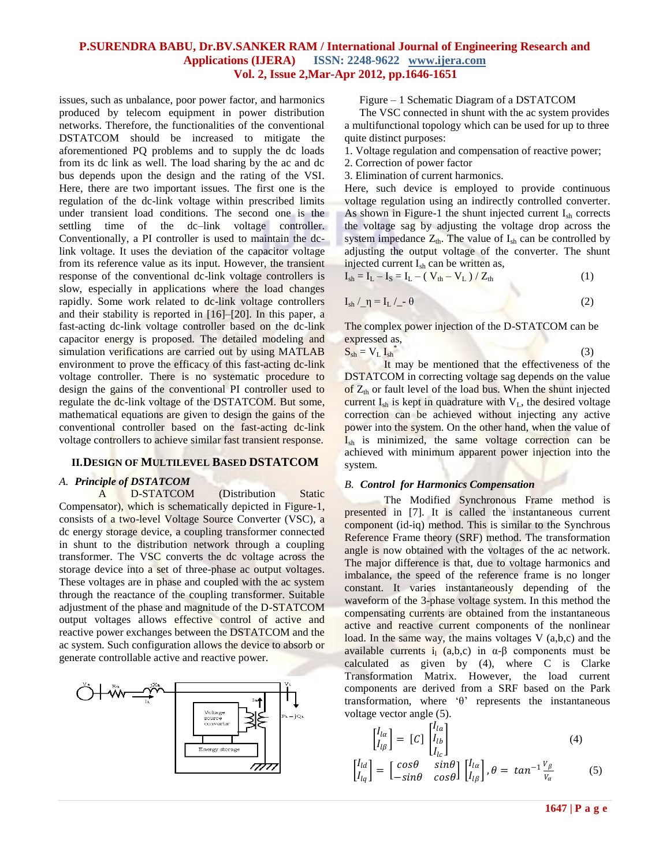issues, such as unbalance, poor power factor, and harmonics produced by telecom equipment in power distribution networks. Therefore, the functionalities of the conventional DSTATCOM should be increased to mitigate the aforementioned PQ problems and to supply the dc loads from its dc link as well. The load sharing by the ac and dc bus depends upon the design and the rating of the VSI. Here, there are two important issues. The first one is the regulation of the dc-link voltage within prescribed limits under transient load conditions. The second one is the settling time of the dc–link voltage controller. Conventionally, a PI controller is used to maintain the dclink voltage. It uses the deviation of the capacitor voltage from its reference value as its input. However, the transient response of the conventional dc-link voltage controllers is slow, especially in applications where the load changes rapidly. Some work related to dc-link voltage controllers and their stability is reported in [16]–[20]. In this paper, a fast-acting dc-link voltage controller based on the dc-link capacitor energy is proposed. The detailed modeling and simulation verifications are carried out by using MATLAB environment to prove the efficacy of this fast-acting dc-link voltage controller. There is no systematic procedure to design the gains of the conventional PI controller used to regulate the dc-link voltage of the DSTATCOM. But some, mathematical equations are given to design the gains of the conventional controller based on the fast-acting dc-link voltage controllers to achieve similar fast transient response.

#### **II.DESIGN OF MULTILEVEL BASED DSTATCOM**

#### *A. Principle of DSTATCOM*

A D-STATCOM (Distribution Static Compensator), which is schematically depicted in Figure-1, consists of a two-level Voltage Source Converter (VSC), a dc energy storage device, a coupling transformer connected in shunt to the distribution network through a coupling transformer. The VSC converts the dc voltage across the storage device into a set of three-phase ac output voltages. These voltages are in phase and coupled with the ac system through the reactance of the coupling transformer. Suitable adjustment of the phase and magnitude of the D-STATCOM output voltages allows effective control of active and reactive power exchanges between the DSTATCOM and the ac system. Such configuration allows the device to absorb or generate controllable active and reactive power.



Figure – 1 Schematic Diagram of a DSTATCOM

The VSC connected in shunt with the ac system provides a multifunctional topology which can be used for up to three quite distinct purposes:

1. Voltage regulation and compensation of reactive power;

- 2. Correction of power factor
- 3. Elimination of current harmonics.

Here, such device is employed to provide continuous voltage regulation using an indirectly controlled converter. As shown in Figure-1 the shunt injected current  $I_{sh}$  corrects the voltage sag by adjusting the voltage drop across the system impedance  $Z_{th}$ . The value of  $I_{sh}$  can be controlled by adjusting the output voltage of the converter. The shunt injected current Ish can be written as,

$$
I_{sh} = I_L - I_S = I_L - (V_{th} - V_L) / Z_{th}
$$
 (1)

$$
I_{sh} / \underline{\eta} = I_L / \underline{\ } \cdot \theta \tag{2}
$$

The complex power injection of the D-STATCOM can be expressed as,

$$
S_{sh} = V_L I_{sh}^* \tag{3}
$$

It may be mentioned that the effectiveness of the DSTATCOM in correcting voltage sag depends on the value of  $Z_{th}$  or fault level of the load bus. When the shunt injected current  $I_{sh}$  is kept in quadrature with  $V_L$ , the desired voltage correction can be achieved without injecting any active power into the system. On the other hand, when the value of  $I_{sh}$  is minimized, the same voltage correction can be achieved with minimum apparent power injection into the system.

#### *B. Control for Harmonics Compensation*

The Modified Synchronous Frame method is presented in [7]. It is called the instantaneous current component (id-iq) method. This is similar to the Synchrous Reference Frame theory (SRF) method. The transformation angle is now obtained with the voltages of the ac network. The major difference is that, due to voltage harmonics and imbalance, the speed of the reference frame is no longer constant. It varies instantaneously depending of the waveform of the 3-phase voltage system. In this method the compensating currents are obtained from the instantaneous active and reactive current components of the nonlinear load. In the same way, the mains voltages V (a,b,c) and the available currents i<sub>l</sub> (a,b,c) in  $\alpha$ - $\beta$  components must be calculated as given by (4), where C is Clarke Transformation Matrix. However, the load current components are derived from a SRF based on the Park transformation, where "θ" represents the instantaneous voltage vector angle (5).

$$
\begin{bmatrix} I_{l\alpha} \\ I_{l\beta} \end{bmatrix} = [C] \begin{bmatrix} I_{l\alpha} \\ I_{l\alpha} \\ I_{l\alpha} \end{bmatrix}
$$
 (4)

$$
\begin{bmatrix} I_{ld} \\ I_{lq} \end{bmatrix} = \begin{bmatrix} \cos\theta & \sin\theta \\ -\sin\theta & \cos\theta \end{bmatrix} \begin{bmatrix} I_{l\alpha} \\ I_{l\beta} \end{bmatrix}, \theta = \tan^{-1} \frac{v_\beta}{v_\alpha} \tag{5}
$$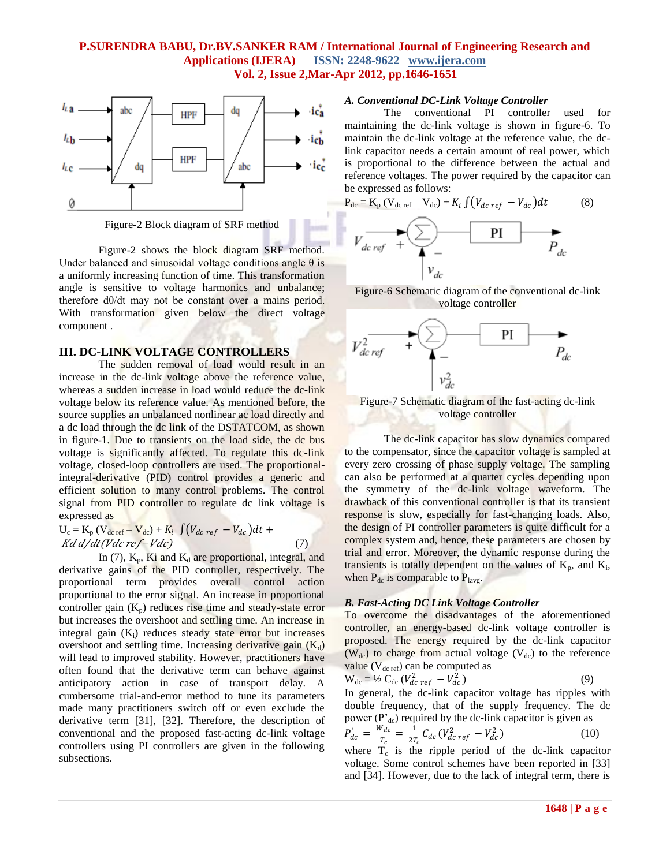

Figure-2 Block diagram of SRF method

Figure-2 shows the block diagram SRF method. Under balanced and sinusoidal voltage conditions angle  $\theta$  is a uniformly increasing function of time. This transformation angle is sensitive to voltage harmonics and unbalance; therefore dθ/dt may not be constant over a mains period. With transformation given below the direct voltage component .

# **III. DC-LINK VOLTAGE CONTROLLERS**

The sudden removal of load would result in an increase in the dc-link voltage above the reference value, whereas a sudden increase in load would reduce the dc-link voltage below its reference value. As mentioned before, the source supplies an unbalanced nonlinear ac load directly and a dc load through the dc link of the DSTATCOM, as shown in figure-1. Due to transients on the load side, the dc bus voltage is significantly affected. To regulate this dc-link voltage, closed-loop controllers are used. The proportionalintegral-derivative (PID) control provides a generic and efficient solution to many control problems. The control signal from PID controller to regulate dc link voltage is expressed as

$$
U_c = K_p (V_{dc\,ref} - V_{dc}) + K_i \int (V_{dc\,ref} - V_{dc}) dt + K d/dt (Vdc\,ref - Vdc)
$$
 (7)

In (7),  $K_p$ , Ki and  $K_d$  are proportional, integral, and derivative gains of the PID controller, respectively. The proportional term provides overall control action proportional to the error signal. An increase in proportional controller gain  $(K_p)$  reduces rise time and steady-state error but increases the overshoot and settling time. An increase in integral gain  $(K_i)$  reduces steady state error but increases overshoot and settling time. Increasing derivative gain  $(K_d)$ will lead to improved stability. However, practitioners have often found that the derivative term can behave against anticipatory action in case of transport delay. A cumbersome trial-and-error method to tune its parameters made many practitioners switch off or even exclude the derivative term [31], [32]. Therefore, the description of conventional and the proposed fast-acting dc-link voltage controllers using PI controllers are given in the following subsections.

#### *A. Conventional DC-Link Voltage Controller*

The conventional PI controller used for maintaining the dc-link voltage is shown in figure-6. To maintain the dc-link voltage at the reference value, the dclink capacitor needs a certain amount of real power, which is proportional to the difference between the actual and reference voltages. The power required by the capacitor can be expressed as follows:

$$
P_{dc} = K_p (V_{dc \text{ ref}} - V_{dc}) + K_i \int (V_{dc \text{ ref}} - V_{dc}) dt
$$
 (8)



Figure-6 Schematic diagram of the conventional dc-link voltage controller



Figure-7 Schematic diagram of the fast-acting dc-link voltage controller

The dc-link capacitor has slow dynamics compared to the compensator, since the capacitor voltage is sampled at every zero crossing of phase supply voltage. The sampling can also be performed at a quarter cycles depending upon the symmetry of the dc-link voltage waveform. The drawback of this conventional controller is that its transient response is slow, especially for fast-changing loads. Also, the design of PI controller parameters is quite difficult for a complex system and, hence, these parameters are chosen by trial and error. Moreover, the dynamic response during the transients is totally dependent on the values of  $K_p$ , and  $K_i$ , when  $P_{dc}$  is comparable to  $P_{\text{layer}}$ .

#### *B. Fast-Acting DC Link Voltage Controller*

To overcome the disadvantages of the aforementioned controller, an energy-based dc-link voltage controller is proposed. The energy required by the dc-link capacitor ( $W_{dc}$ ) to charge from actual voltage ( $V_{dc}$ ) to the reference value  $(V_{dc\ ref})$  can be computed as

$$
W_{dc} = \frac{1}{2} C_{dc} \left( V_{dc}^2 \, r_{ef} - V_{dc}^2 \right) \tag{9}
$$

In general, the dc-link capacitor voltage has ripples with double frequency, that of the supply frequency. The dc power  $(P_{dc})$  required by the dc-link capacitor is given as

$$
P'_{dc} = \frac{W_{dc}}{T_c} = \frac{1}{2T_c} C_{dc} (V_{dc}^2_{ref} - V_{dc}^2)
$$
 (10)

the  $T_c$   $2T_c$  and  $2T_c$  and  $2T_c$  and  $2T_c$  and  $2T_c$  are  $2T_c$  and  $2T_c$  are  $2T_c$  and  $2T_c$  are  $2T_c$  and  $2T_c$  are  $2T_c$  and  $2T_c$  are  $2T_c$  and  $2T_c$  are  $2T_c$  and  $2T_c$  are  $2T_c$  and  $2T_c$  are  $2T_c$  and  $2T_c$  are  $2$ voltage. Some control schemes have been reported in [33] and [34]. However, due to the lack of integral term, there is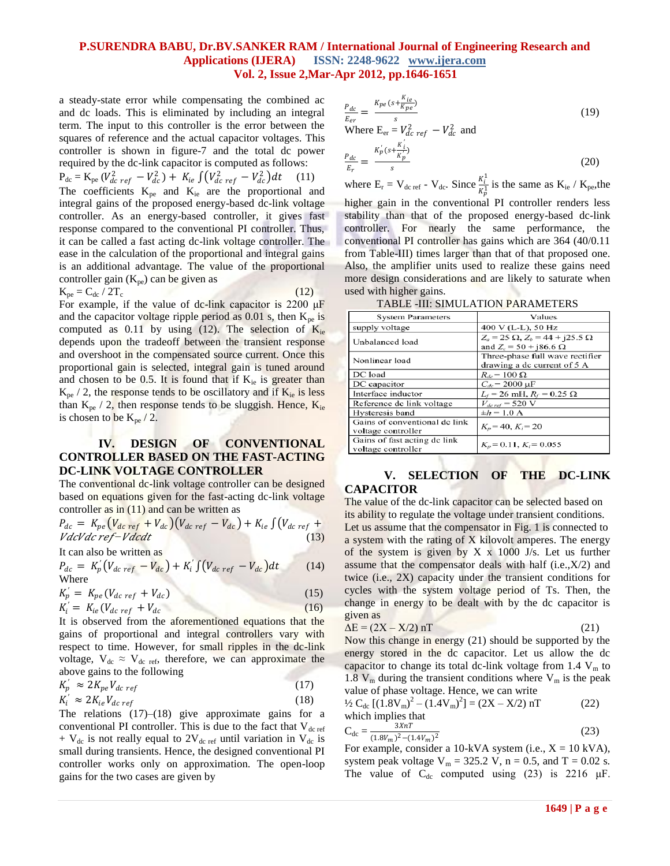a steady-state error while compensating the combined ac and dc loads. This is eliminated by including an integral term. The input to this controller is the error between the squares of reference and the actual capacitor voltages. This controller is shown in figure-7 and the total dc power required by the dc-link capacitor is computed as follows:  $P_{dc} = K_{pe} (V_{dc}^2_{ref} - V_{dc}^2) + K_{ie} \int (V_{dc}^2_{ref} - V_{dc}^2) dt$  (11) The coefficients  $K_{pe}$  and  $K_{ie}$  are the proportional and integral gains of the proposed energy-based dc-link voltage controller. As an energy-based controller, it gives fast response compared to the conventional PI controller. Thus, it can be called a fast acting dc-link voltage controller. The ease in the calculation of the proportional and integral gains is an additional advantage. The value of the proportional controller gain  $(K_{pe})$  can be given as

$$
K_{pe} = C_{dc} / 2T_c
$$
 (12)

For example, if the value of dc-link capacitor is 2200  $\mu$ F and the capacitor voltage ripple period as 0.01 s, then  $K_{pe}$  is computed as 0.11 by using (12). The selection of  $K_{ie}$ depends upon the tradeoff between the transient response and overshoot in the compensated source current. Once this proportional gain is selected, integral gain is tuned around and chosen to be 0.5. It is found that if  $K_{ie}$  is greater than  $K_{pe}$  / 2, the response tends to be oscillatory and if  $K_{ie}$  is less than  $K_{pe}$  / 2, then response tends to be sluggish. Hence,  $K_{ie}$ is chosen to be  $K_{pe}$  / 2.

# **IV. DESIGN OF CONVENTIONAL CONTROLLER BASED ON THE FAST-ACTING DC-LINK VOLTAGE CONTROLLER**

The conventional dc-link voltage controller can be designed based on equations given for the fast-acting dc-link voltage controller as in  $(11)$  and can be written as

$$
P_{dc} = K_{pe} \left( V_{dc} \frac{r_{ef} + V_{dc}}{r_{ef} - V_{dc}} \right) + K_{ie} \int (V_{dc} \frac{r_{ef} + V_{dc}}{r_{ef} - V_{dc}}) \frac{r_{dc}}{r_{ef} - V_{dc}} \tag{13}
$$

It can also be written as

$$
P_{dc} = K_p'(V_{dc\ ref} - V_{dc}) + K_i' \int (V_{dc\ ref} - V_{dc}) dt
$$
 (14)  
Where

$$
K_p' = K_{pe} (V_{dc\ ref} + V_{dc})
$$
\n(15)

$$
K'_{i} = K_{ie} (V_{dc \, ref} + V_{dc} \tag{16}
$$

It is observed from the aforementioned equations that the gains of proportional and integral controllers vary with respect to time. However, for small ripples in the dc-link voltage,  $V_{dc} \approx V_{dc}$  ref, therefore, we can approximate the above gains to the following

$$
K_p' \approx 2K_{pe}V_{dc\,ref} \tag{17}
$$

$$
K_i^{'} \approx 2K_{ie}V_{dc\,ref} \tag{18}
$$

The relations  $(17)$ – $(18)$  give approximate gains for a conventional PI controller. This is due to the fact that  $V_{dc\ ref}$ +  $V_{dc}$  is not really equal to 2V<sub>dc ref</sub> until variation in V<sub>dc</sub> is small during transients. Hence, the designed conventional PI controller works only on approximation. The open-loop gains for the two cases are given by

$$
\frac{P_{dc}}{E_{er}} = \frac{K_{pe}(s + \frac{K_{ie}}{K_{pe}})}{s}
$$
\nWhere E<sub>er</sub> = V<sub>dc</sub><sup>2</sup>ref - V<sub>dc</sub><sup>2</sup> and (19)

$$
\frac{P_{dc}}{E_r} = \frac{K_p'(s + \frac{K_i'}{K_p})}{s}
$$
(20)

where  $E_r = V_{dc \text{ ref}} - V_{dc}$ . Since  $\frac{K_i^1}{\nu}$  $\frac{K_i}{K_p^1}$  is the same as  $K_{ie}$  /  $K_{pe}$ , the higher gain in the conventional PI controller renders less stability than that of the proposed energy-based dc-link controller. For nearly the same performance, the conventional PI controller has gains which are 364 (40/0.11 from Table-III) times larger than that of that proposed one. Also, the amplifier units used to realize these gains need more design considerations and are likely to saturate when used with higher gains.

| <b>System Parameters</b>                            | Values                                                                         |
|-----------------------------------------------------|--------------------------------------------------------------------------------|
| supply voltage                                      | 400 V (L-L), 50 Hz                                                             |
| Unbalanced load                                     | $Z_a = 25 \Omega$ , $Z_b = 44 + i25.5 \Omega$<br>and $Z_c = 50 + i86.6 \Omega$ |
| Nonlinear load                                      | Three-phase full wave rectifier<br>drawing a dc current of 5 A                 |
| DC load                                             | $R_{dc}$ = 100 $\Omega$                                                        |
| DC capacitor                                        | $C_{dc}$ = 2000 µF                                                             |
| Interface inductor                                  | $L_f = 26$ mH, $R_f = 0.25$ $\Omega$                                           |
| Reference de link voltage                           | $V_{dc\,ref} = 520 \, \text{V}$                                                |
| Hysteresis band                                     | $\pm h = 1.0 \text{ A}$                                                        |
| Gains of conventional de link<br>voltage controller | $K_p = 40, K_i = 20$                                                           |
| Gains of fast acting de link<br>voltage controller  | $K_p = 0.11, K_i = 0.055$                                                      |

# **V. SELECTION OF THE DC-LINK CAPACITOR**

The value of the dc-link capacitor can be selected based on its ability to regulate the voltage under transient conditions.

Let us assume that the compensator in Fig. 1 is connected to a system with the rating of X kilovolt amperes. The energy of the system is given by  $X \times 1000$  J/s. Let us further assume that the compensator deals with half (i.e.,X/2) and twice (i.e., 2X) capacity under the transient conditions for cycles with the system voltage period of Ts. Then, the change in energy to be dealt with by the dc capacitor is given as

$$
\Delta E = (2X - X/2) nT
$$
 (21)

Now this change in energy (21) should be supported by the energy stored in the dc capacitor. Let us allow the dc capacitor to change its total dc-link voltage from  $1.4 V<sub>m</sub>$  to 1.8  $V_m$  during the transient conditions where  $V_m$  is the peak value of phase voltage. Hence, we can write

$$
^{1/2}C_{dc}[(1.8V_m)^2 - (1.4V_m)^2] = (2X - X/2) nT
$$
 (22)  
which implies that

$$
C_{dc} = \frac{3XnT}{(1.8V_m)^2 - (1.4V_m)^2}
$$
 (23)

For example, consider a 10-kVA system (i.e.,  $X = 10$  kVA), system peak voltage  $V_m = 325.2$  V,  $n = 0.5$ , and  $T = 0.02$  s. The value of  $C_{dc}$  computed using (23) is 2216  $\mu$ F.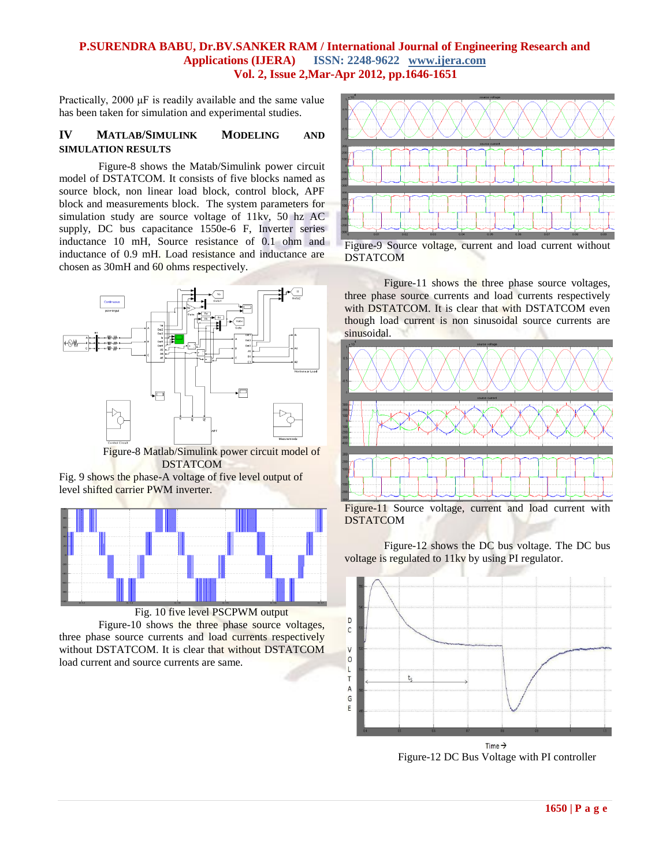Practically, 2000 μF is readily available and the same value has been taken for simulation and experimental studies.

# **IV MATLAB/SIMULINK MODELING AND SIMULATION RESULTS**

Figure-8 shows the Matab/Simulink power circuit model of DSTATCOM. It consists of five blocks named as source block, non linear load block, control block, APF block and measurements block. The system parameters for simulation study are source voltage of 11kv, 50 hz AC supply, DC bus capacitance 1550e-6 F, Inverter series inductance 10 mH, Source resistance of 0.1 ohm and inductance of 0.9 mH. Load resistance and inductance are chosen as 30mH and 60 ohms respectively.



Figure-8 Matlab/Simulink power circuit model of DSTATCOM

Fig. 9 shows the phase-A voltage of five level output of level shifted carrier PWM inverter.



Fig. 10 five level PSCPWM output

Figure-10 shows the three phase source voltages, three phase source currents and load currents respectively without DSTATCOM. It is clear that without DSTATCOM load current and source currents are same.



Figure-9 Source voltage, current and load current without DSTATCOM

Figure-11 shows the three phase source voltages, three phase source currents and load currents respectively with DSTATCOM. It is clear that with DSTATCOM even though load current is non sinusoidal source currents are sinusoidal.



DSTATCOM

Figure-12 shows the DC bus voltage. The DC bus voltage is regulated to 11kv by using PI regulator.



Figure-12 DC Bus Voltage with PI controller